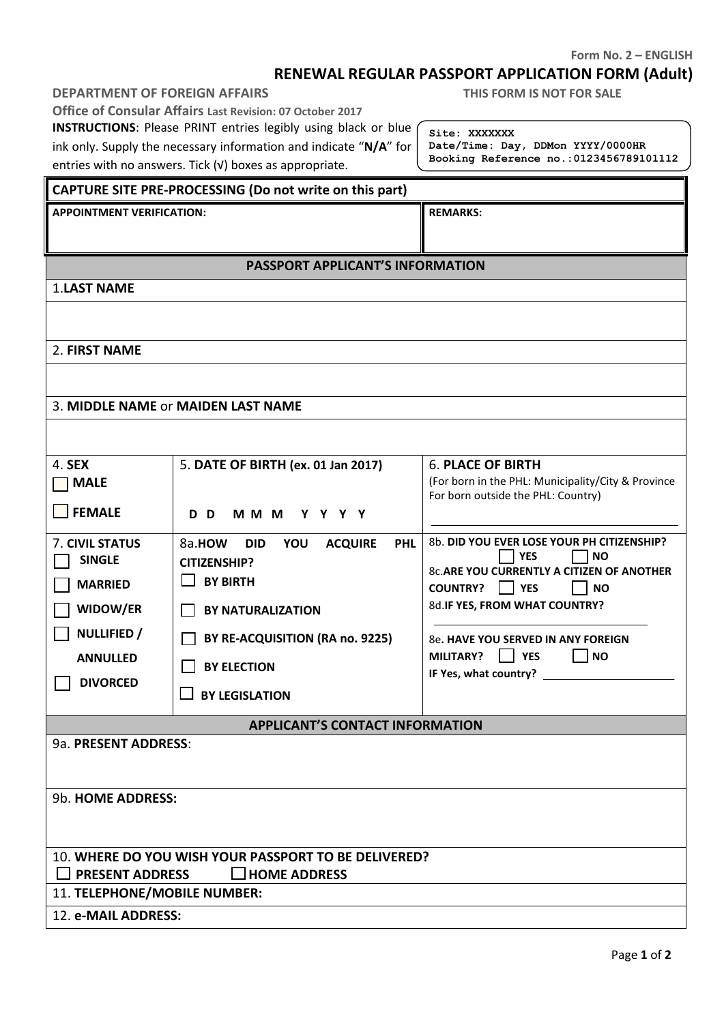#### **Form No. 2 – ENGLISH**

# **RENEWAL REGULAR PASSPORT APPLICATION FORM (Adult)**

**Office of Consular Affairs Last Revision: 07 October 2017**

**INSTRUCTIONS**: Please PRINT entries legibly using black or blue

ink only. Supply the necessary information and indicate "**N/A**" for entries with no answers. Tick (√) boxes as appropriate.

**Site: XXXXXXX Date/Time: Day, DDMon YYYY/0000HR Booking Reference no.:0123456789101112**

**THIS FORM IS NOT FOR SALE** 

## **CAPTURE SITE PRE-PROCESSING (Do not write on this part)**

| <b>APPOINTMENT VERIFICATION:</b> | <b>REMARKS:</b> |
|----------------------------------|-----------------|
|----------------------------------|-----------------|

### **PASSPORT APPLICANT'S INFORMATION**

1.**LAST NAME**

2. **FIRST NAME**

#### 3. **MIDDLE NAME** or **MAIDEN LAST NAME**

| 4. <b>SEX</b>                                        | 5. DATE OF BIRTH (ex. 01 Jan 2017)                          | <b>6. PLACE OF BIRTH</b>                           |  |  |  |  |  |
|------------------------------------------------------|-------------------------------------------------------------|----------------------------------------------------|--|--|--|--|--|
| <b>MALE</b>                                          |                                                             | (For born in the PHL: Municipality/City & Province |  |  |  |  |  |
|                                                      |                                                             | For born outside the PHL: Country)                 |  |  |  |  |  |
| FEMALE                                               | MMM YYYY<br>D D                                             |                                                    |  |  |  |  |  |
|                                                      |                                                             |                                                    |  |  |  |  |  |
| 7. CIVIL STATUS                                      | 8a.HOW<br><b>PHL</b><br><b>DID</b><br>YOU<br><b>ACQUIRE</b> | 8b. DID YOU EVER LOSE YOUR PH CITIZENSHIP?         |  |  |  |  |  |
| <b>SINGLE</b>                                        | <b>CITIZENSHIP?</b>                                         | <b>YES</b><br><b>NO</b>                            |  |  |  |  |  |
| <b>MARRIED</b>                                       | <b>BY BIRTH</b>                                             | <b>8c.ARE YOU CURRENTLY A CITIZEN OF ANOTHER</b>   |  |  |  |  |  |
|                                                      |                                                             | <b>COUNTRY?</b><br>  YES<br><b>NO</b>              |  |  |  |  |  |
| <b>WIDOW/ER</b>                                      | <b>BY NATURALIZATION</b>                                    | 8d.IF YES, FROM WHAT COUNTRY?                      |  |  |  |  |  |
| NULLIFIED /                                          | BY RE-ACQUISITION (RA no. 9225)                             | 8e. HAVE YOU SERVED IN ANY FOREIGN                 |  |  |  |  |  |
| <b>ANNULLED</b>                                      |                                                             | <b>MILITARY?</b><br><b>YES</b><br><b>NO</b>        |  |  |  |  |  |
|                                                      | <b>BY ELECTION</b>                                          | IF Yes, what country?                              |  |  |  |  |  |
| <b>DIVORCED</b>                                      | <b>BY LEGISLATION</b>                                       |                                                    |  |  |  |  |  |
|                                                      |                                                             |                                                    |  |  |  |  |  |
|                                                      | <b>APPLICANT'S CONTACT INFORMATION</b>                      |                                                    |  |  |  |  |  |
| 9a. PRESENT ADDRESS:                                 |                                                             |                                                    |  |  |  |  |  |
|                                                      |                                                             |                                                    |  |  |  |  |  |
|                                                      |                                                             |                                                    |  |  |  |  |  |
| 9b. HOME ADDRESS:                                    |                                                             |                                                    |  |  |  |  |  |
|                                                      |                                                             |                                                    |  |  |  |  |  |
|                                                      |                                                             |                                                    |  |  |  |  |  |
|                                                      |                                                             |                                                    |  |  |  |  |  |
| 10. WHERE DO YOU WISH YOUR PASSPORT TO BE DELIVERED? |                                                             |                                                    |  |  |  |  |  |
| $\Box$ HOME ADDRESS<br><b>PRESENT ADDRESS</b>        |                                                             |                                                    |  |  |  |  |  |
| 11. TELEPHONE/MOBILE NUMBER:                         |                                                             |                                                    |  |  |  |  |  |
| 12. e-MAIL ADDRESS:                                  |                                                             |                                                    |  |  |  |  |  |
|                                                      |                                                             |                                                    |  |  |  |  |  |